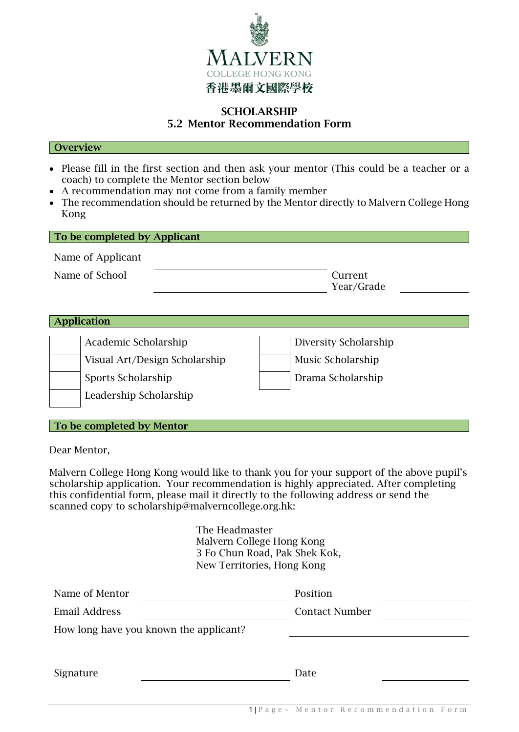

## **SCHOLARSHIP** 5.2 Mentor Recommendation Form

#### **Overview**

- Please fill in the first section and then ask your mentor (This could be a teacher or a coach) to complete the Mentor section below
- A recommendation may not come from a family member
- The recommendation should be returned by the Mentor directly to Malvern College Hong Kong

| To be completed by Applicant |                               |  |                       |  |  |  |  |
|------------------------------|-------------------------------|--|-----------------------|--|--|--|--|
| Name of Applicant            |                               |  |                       |  |  |  |  |
| Name of School               |                               |  | Current<br>Year/Grade |  |  |  |  |
|                              |                               |  |                       |  |  |  |  |
| pplication                   |                               |  |                       |  |  |  |  |
| Academic Scholarship         |                               |  | Diversity Scholarship |  |  |  |  |
|                              | Visual Art/Design Scholarship |  | Music Scholarship     |  |  |  |  |
| Sports Scholarship           |                               |  | Drama Scholarship     |  |  |  |  |
| Leadership Scholarship       |                               |  |                       |  |  |  |  |

### To be completed by Mentor

Dear Mentor,

Malvern College Hong Kong would like to thank you for your support of the above pupil's scholarship application. Your recommendation is highly appreciated. After completing this confidential form, please mail it directly to the following address or send the scanned copy to scholarship@malverncollege.org.hk:

> The Headmaster Malvern College Hong Kong 3 Fo Chun Road, Pak Shek Kok, New Territories, Hong Kong

| Name of Mentor                         | Position              |
|----------------------------------------|-----------------------|
| Email Address                          | <b>Contact Number</b> |
| How long have you known the applicant? |                       |
|                                        |                       |
| Signature                              | Date                  |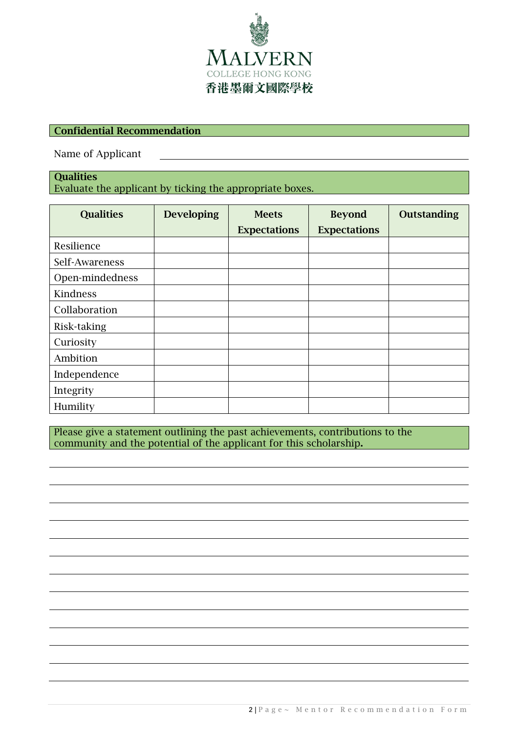

# Confidential Recommendation

Name of Applicant

### **Qualities** Evaluate the applicant by ticking the appropriate boxes.

| <b>Qualities</b> | <b>Developing</b> | <b>Meets</b>        | <b>Beyond</b>       | Outstanding |
|------------------|-------------------|---------------------|---------------------|-------------|
|                  |                   | <b>Expectations</b> | <b>Expectations</b> |             |
| Resilience       |                   |                     |                     |             |
| Self-Awareness   |                   |                     |                     |             |
| Open-mindedness  |                   |                     |                     |             |
| Kindness         |                   |                     |                     |             |
| Collaboration    |                   |                     |                     |             |
| Risk-taking      |                   |                     |                     |             |
| Curiosity        |                   |                     |                     |             |
| Ambition         |                   |                     |                     |             |
| Independence     |                   |                     |                     |             |
| Integrity        |                   |                     |                     |             |
| Humility         |                   |                     |                     |             |

Please give a statement outlining the past achievements, contributions to the community and the potential of the applicant for this scholarship.